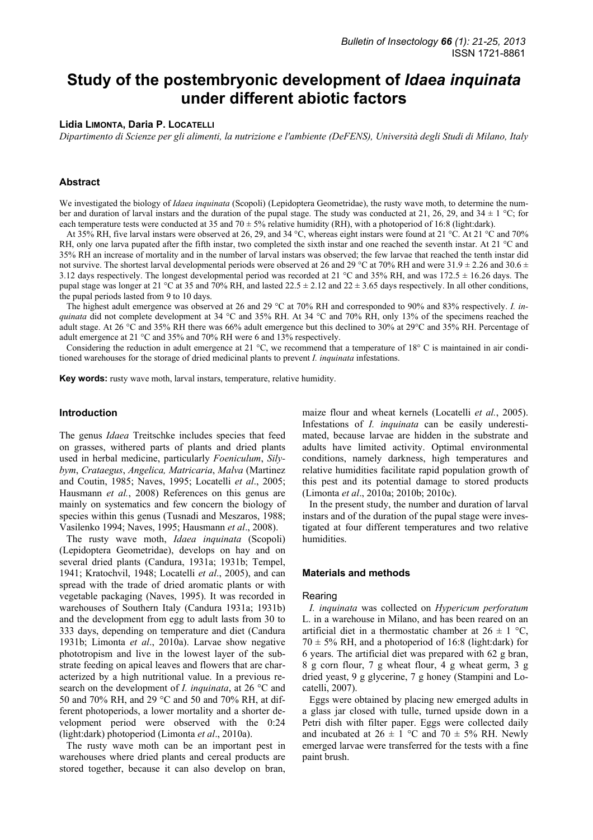# **Study of the postembryonic development of** *Idaea inquinata* **under different abiotic factors**

### **Lidia LIMONTA, Daria P. LOCATELLI**

*Dipartimento di Scienze per gli alimenti, la nutrizione e l'ambiente (DeFENS), Università degli Studi di Milano, Italy* 

## **Abstract**

We investigated the biology of *Idaea inquinata* (Scopoli) (Lepidoptera Geometridae), the rusty wave moth, to determine the number and duration of larval instars and the duration of the pupal stage. The study was conducted at 21, 26, 29, and 34  $\pm$  1 °C; for each temperature tests were conducted at 35 and 70  $\pm$  5% relative humidity (RH), with a photoperiod of 16:8 (light:dark).

At 35% RH, five larval instars were observed at 26, 29, and 34 °C, whereas eight instars were found at 21 °C. At 21 °C and 70% RH, only one larva pupated after the fifth instar, two completed the sixth instar and one reached the seventh instar. At 21 °C and 35% RH an increase of mortality and in the number of larval instars was observed; the few larvae that reached the tenth instar did not survive. The shortest larval developmental periods were observed at 26 and 29 °C at 70% RH and were  $31.9 \pm 2.26$  and  $30.6 \pm$ 3.12 days respectively. The longest developmental period was recorded at 21 °C and 35% RH, and was 172.5 ± 16.26 days. The pupal stage was longer at 21 °C at 35 and 70% RH, and lasted 22.5  $\pm$  2.12 and 22  $\pm$  3.65 days respectively. In all other conditions, the pupal periods lasted from 9 to 10 days.

The highest adult emergence was observed at 26 and 29 °C at 70% RH and corresponded to 90% and 83% respectively. *I. inquinata* did not complete development at 34 °C and 35% RH. At 34 °C and 70% RH, only 13% of the specimens reached the adult stage. At 26 °C and 35% RH there was 66% adult emergence but this declined to 30% at 29°C and 35% RH. Percentage of adult emergence at 21 °C and 35% and 70% RH were 6 and 13% respectively.

Considering the reduction in adult emergence at 21 °C, we recommend that a temperature of 18° C is maintained in air conditioned warehouses for the storage of dried medicinal plants to prevent *I. inquinata* infestations.

**Key words:** rusty wave moth, larval instars, temperature, relative humidity.

## **Introduction**

The genus *Idaea* Treitschke includes species that feed on grasses, withered parts of plants and dried plants used in herbal medicine, particularly *Foeniculum*, *Silybym*, *Crataegus*, *Angelica, Matricaria*, *Malva* (Martinez and Coutin, 1985; Naves, 1995; Locatelli *et al*., 2005; Hausmann *et al.*, 2008) References on this genus are mainly on systematics and few concern the biology of species within this genus (Tusnadi and Meszaros, 1988; Vasilenko 1994; Naves, 1995; Hausmann *et al*., 2008).

The rusty wave moth, *Idaea inquinata* (Scopoli) (Lepidoptera Geometridae), develops on hay and on several dried plants (Candura, 1931a; 1931b; Tempel, 1941; Kratochvil, 1948; Locatelli *et al*., 2005), and can spread with the trade of dried aromatic plants or with vegetable packaging (Naves, 1995). It was recorded in warehouses of Southern Italy (Candura 1931a; 1931b) and the development from egg to adult lasts from 30 to 333 days, depending on temperature and diet (Candura 1931b; Limonta *et al*., 2010a). Larvae show negative phototropism and live in the lowest layer of the substrate feeding on apical leaves and flowers that are characterized by a high nutritional value. In a previous research on the development of *I. inquinata*, at 26 °C and 50 and 70% RH, and 29 °C and 50 and 70% RH, at different photoperiods, a lower mortality and a shorter development period were observed with the 0:24 (light:dark) photoperiod (Limonta *et al*., 2010a).

The rusty wave moth can be an important pest in warehouses where dried plants and cereal products are stored together, because it can also develop on bran, maize flour and wheat kernels (Locatelli *et al.*, 2005). Infestations of *I. inquinata* can be easily underestimated, because larvae are hidden in the substrate and adults have limited activity. Optimal environmental conditions, namely darkness, high temperatures and relative humidities facilitate rapid population growth of this pest and its potential damage to stored products (Limonta *et al*., 2010a; 2010b; 2010c).

In the present study, the number and duration of larval instars and of the duration of the pupal stage were investigated at four different temperatures and two relative humidities.

#### **Materials and methods**

#### Rearing

*I. inquinata* was collected on *Hypericum perforatum* L. in a warehouse in Milano, and has been reared on an artificial diet in a thermostatic chamber at  $26 \pm 1$  °C,  $70 \pm 5\%$  RH, and a photoperiod of 16:8 (light:dark) for 6 years. The artificial diet was prepared with 62 g bran, 8 g corn flour, 7 g wheat flour, 4 g wheat germ, 3 g dried yeast, 9 g glycerine, 7 g honey (Stampini and Locatelli, 2007).

Eggs were obtained by placing new emerged adults in a glass jar closed with tulle, turned upside down in a Petri dish with filter paper. Eggs were collected daily and incubated at  $26 \pm 1$  °C and  $70 \pm 5\%$  RH. Newly emerged larvae were transferred for the tests with a fine paint brush.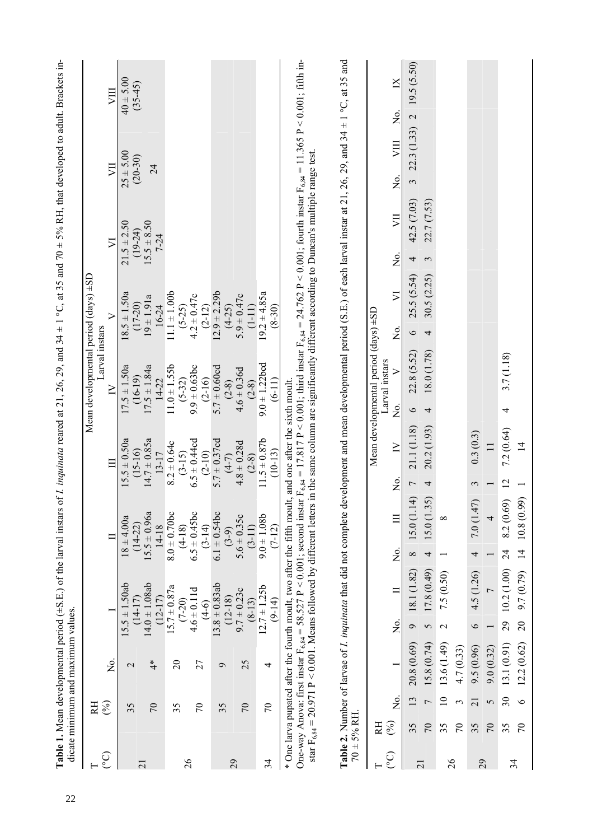|                 |                       | Table 1. Mean developmental period ( $\pm$ S.E.) of the larval instars of <i>I. inquinata</i> reared at 21, 26, 29, and 34 $\pm$ 1 °C, at 35 and 70 $\pm$ 5% RH, that developed to adult. Brackets in-<br>dicate minimum and maximum values.                                                                                                                       |                   |                                 |                 |                               |                |                                      |         |                                     |         |                                                  |               |                              |                                                                                           |                |               |  |
|-----------------|-----------------------|--------------------------------------------------------------------------------------------------------------------------------------------------------------------------------------------------------------------------------------------------------------------------------------------------------------------------------------------------------------------|-------------------|---------------------------------|-----------------|-------------------------------|----------------|--------------------------------------|---------|-------------------------------------|---------|--------------------------------------------------|---------------|------------------------------|-------------------------------------------------------------------------------------------|----------------|---------------|--|
|                 | RH                    |                                                                                                                                                                                                                                                                                                                                                                    |                   |                                 |                 |                               |                |                                      |         | Larval instars                      |         | Mean developmental period $(\text{days}) \pm SD$ |               |                              |                                                                                           |                |               |  |
| $\widetilde{C}$ | $($ % $)$             | ,<br>Z                                                                                                                                                                                                                                                                                                                                                             |                   |                                 |                 |                               |                | E                                    |         | $\geq$                              |         |                                                  |               | $\overline{\vee}$            | ÿЦ                                                                                        |                | VIII          |  |
|                 | 35                    | $\mathcal{L}$                                                                                                                                                                                                                                                                                                                                                      |                   | $15.5 \pm 1.50$ ab              |                 | $18 \pm 4.00a$                |                | $15.5 \pm 0.50a$                     |         | $17.5 \pm 1.50a$                    |         | $18.5 \pm 1.50a$                                 |               | $21.5 \pm 2.50$              | $25 \pm 5.00$                                                                             |                | $40 \pm 5.00$ |  |
| $\overline{c}$  |                       |                                                                                                                                                                                                                                                                                                                                                                    |                   | $14.0 \pm 1.08$ ab<br>$(14-17)$ |                 | $15.5 \pm 0.96a$<br>$(14-22)$ |                | $(15-16)$                            |         | $17.5 \pm 1.84a$<br>$(16-19)$       |         | $19 \pm 1.91a$<br>$(17-20)$                      |               | $15.5 \pm 8.50$<br>$(19-24)$ | $(20-30)$                                                                                 |                | $(35-45)$     |  |
|                 | $\sqrt{2}$            | $\ddot{ }$                                                                                                                                                                                                                                                                                                                                                         |                   | $(12 - 17)$                     |                 | 14-18                         |                | $14.7 \pm 0.85a$<br>13-17            |         | $14 - 22$                           |         | 16-24                                            |               | $7-24$                       | 24                                                                                        |                |               |  |
|                 | 35                    | $\Omega$                                                                                                                                                                                                                                                                                                                                                           |                   | $15.7 \pm 0.87a$                |                 | $8.0 \pm 0.70$ bc             |                | $8.2 \pm 0.64c$                      |         | $11.0 \pm 1.55$                     |         | $11.1 \pm 1.00b$                                 |               |                              |                                                                                           |                |               |  |
| 26              |                       |                                                                                                                                                                                                                                                                                                                                                                    |                   | $(7 - 20)$                      |                 | $(4-18)$                      |                | $(3-15)$<br>$6.5 \pm 0.44$ cd        |         | $(5-32)$                            |         | $(5-25)$                                         |               |                              |                                                                                           |                |               |  |
|                 | $\mathcal{L}$         | 27                                                                                                                                                                                                                                                                                                                                                                 |                   | $4.6 \pm 0.11d$                 |                 | $6.5 \pm 0.45$ bc<br>$(3-14)$ |                | $(2-10)$                             |         | $9.9 \pm 0.63$ bc<br>$(2 - 16)$     |         | $4.2 \pm 0.47c$                                  |               |                              |                                                                                           |                |               |  |
|                 |                       |                                                                                                                                                                                                                                                                                                                                                                    |                   | $(4-6)$<br>13.8 ± 0.83ab        |                 | $6.1 \pm 0.54$ bc             |                | $5.7 \pm 0.37$ cd                    |         | $5.7 \pm 0.60cd$                    |         | $(2-12)$<br>12.9 ± 2.29b                         |               |                              |                                                                                           |                |               |  |
|                 | 35                    | $\mathbf{\Omega}$                                                                                                                                                                                                                                                                                                                                                  |                   | $(12 - 18)$                     |                 | $(3-9)$                       |                | $(4-7)$                              |         | $(2-8)$                             |         | $(4-25)$                                         |               |                              |                                                                                           |                |               |  |
| 29              | $\sqrt{2}$            | 25                                                                                                                                                                                                                                                                                                                                                                 |                   | $9.7 \pm 0.23c$                 |                 | $5.6 \pm 0.35c$               |                | $4.8 \pm 0.28$ d                     |         | $4.6 \pm 0.36d$                     |         | $5.9 \pm 0.47c$                                  |               |                              |                                                                                           |                |               |  |
|                 |                       |                                                                                                                                                                                                                                                                                                                                                                    |                   | $(8-13)$                        |                 | $(3-11)$                      |                | $(2-8)$                              |         |                                     |         | $(1 - 11)$                                       |               |                              |                                                                                           |                |               |  |
| 34              | $\mathcal{L}$         | 4                                                                                                                                                                                                                                                                                                                                                                  |                   | $12.7 \pm 1.25b$<br>$(9-14)$    |                 | $9.0 \pm 1.08$<br>$(7-12)$    |                | $11.5 \pm 0.87$ b<br>$(10-13)$       |         | $(2-8)$<br>9.0 ± 1.22bcd<br>$(6-1)$ |         | $19.2 \pm 4.85a$<br>$(8-30)$                     |               |                              |                                                                                           |                |               |  |
|                 |                       | One-way Anova: first instar $F_{6,84} = 58.527 P < 0.001$ ; second instar $F_{6,84} = 17.817 P < 0.001$ ; third instar $F_{6,84} = 24.762 P < 0.001$ ; fourth instar $F_{6,84} = 11.365 P < 0.001$ ; fifth in-<br>* One larva pupated after the fourth moult, two after the fifth moult<br>star $F_{6,84}$ = 20.971 P < 0.001. Means followed by different letters |                   |                                 |                 |                               |                | t, and one after the sixth moult.    |         |                                     |         |                                                  |               |                              | in the same column are significantly different according to Duncan's multiple range test. |                |               |  |
|                 | $70 \pm 5\%$ RH       | Table 2. Number of larvae of <i>l. inquinata</i> that did not complete development and mean developmental period (S.E.) of each larval instar at 21, 26, 29, and 34 ± 1 °C, at 35 and                                                                                                                                                                              |                   |                                 |                 |                               |                |                                      |         |                                     |         |                                                  |               |                              |                                                                                           |                |               |  |
|                 | ER                    |                                                                                                                                                                                                                                                                                                                                                                    |                   |                                 |                 |                               |                | Mean developmental period (days) ±SD |         | Larval instars                      |         |                                                  |               |                              |                                                                                           |                |               |  |
| ြ               | 2o<br>$\mathcal{E}$   |                                                                                                                                                                                                                                                                                                                                                                    | $\frac{1}{2}$     |                                 | $\frac{1}{2}$   | $\Box$                        | Σó,            | $\geq$                               | ò<br>Z  | $\triangleright$                    | δ.      | $\overline{\nabla}$                              | $\frac{1}{2}$ | VII                          | VIII<br>ğ,                                                                                | $\overline{a}$ | $\mathbb{X}$  |  |
| $\overline{c}$  | 35                    | 20.8 (0.69)<br>13                                                                                                                                                                                                                                                                                                                                                  | ٩                 | 18.1 (1.82)                     | $\infty$        | 15.0(1.14)                    | 7              | 21.1 (1.18)                          | $\circ$ | 22.8 (5.52)                         | $\circ$ | 25.5 (5.54)                                      | 4             | 42.5 (7.03)                  | $\tilde{\mathfrak{c}}$                                                                    | 22.3 (1.33) 2  | 19.5(5.50)    |  |
|                 | $\sqrt{2}$            | 15.8 (0.74)<br>$\overline{ }$                                                                                                                                                                                                                                                                                                                                      | 5                 | 17.8 (0.49)                     | 4               | 15.0 (1.35)                   | 4              | 20.2 (1.93)                          | 4       | 18.0 (1.78)                         | 4       | 30.5(2.25)                                       | 3             | 22.7 (7.53)                  |                                                                                           |                |               |  |
| 26              | 35                    | 13.6 (1.49)<br>$\overline{10}$                                                                                                                                                                                                                                                                                                                                     | $\mathbf{\Omega}$ | 7.5(0.50)                       |                 | $\infty$                      |                |                                      |         |                                     |         |                                                  |               |                              |                                                                                           |                |               |  |
|                 | $\mathcal{L}$         | 4.7 (0.33)<br>3                                                                                                                                                                                                                                                                                                                                                    |                   |                                 |                 |                               |                |                                      |         |                                     |         |                                                  |               |                              |                                                                                           |                |               |  |
| 29              | $\overline{21}$<br>35 | 9.5(0.96)                                                                                                                                                                                                                                                                                                                                                          | $\circ$           | 4.5 (1.26)                      | 4               | 7.0(1.47)                     | 3              | 0.3(0.3)                             |         |                                     |         |                                                  |               |                              |                                                                                           |                |               |  |
|                 | $\sqrt{2}$            | 9.0(0.32)<br>5                                                                                                                                                                                                                                                                                                                                                     |                   |                                 |                 |                               |                | $\overline{11}$                      |         |                                     |         |                                                  |               |                              |                                                                                           |                |               |  |
| 34              | 35                    | 13.1 (0.91)<br>$\overline{\mathcal{E}}$                                                                                                                                                                                                                                                                                                                            | 29                | 10.2(1.00)                      | $\overline{24}$ | 8.2 (0.69)                    | $\overline{2}$ | 7.2 (0.64)                           | 4       | 3.7(1.18)                           |         |                                                  |               |                              |                                                                                           |                |               |  |
|                 | $\mathcal{L}$         | 12.2(0.62)<br>$\circ$                                                                                                                                                                                                                                                                                                                                              | 20                | 9.7 (0.79)                      |                 | 14 10.8 (0.99                 |                | $\overline{1}$                       |         |                                     |         |                                                  |               |                              |                                                                                           |                |               |  |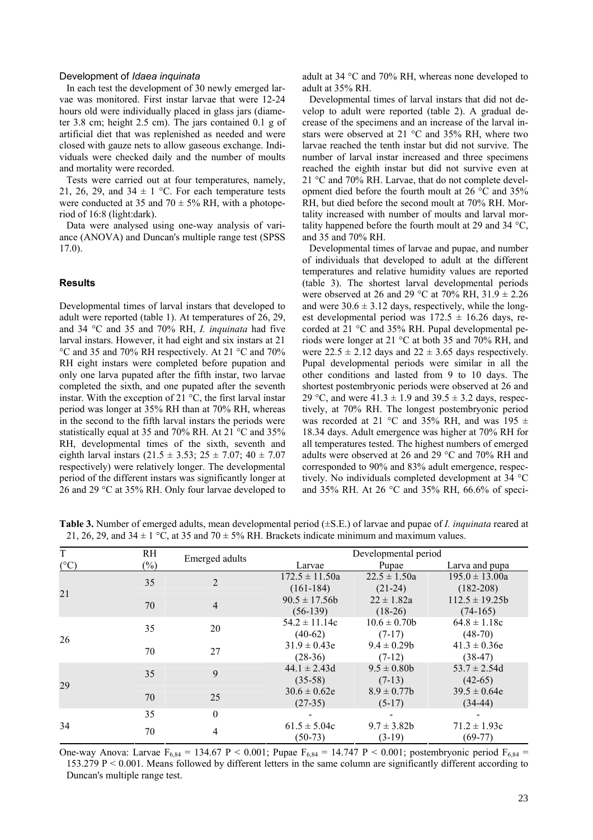#### Development of *Idaea inquinata*

In each test the development of 30 newly emerged larvae was monitored. First instar larvae that were 12-24 hours old were individually placed in glass jars (diameter 3.8 cm; height 2.5 cm). The jars contained 0.1 g of artificial diet that was replenished as needed and were closed with gauze nets to allow gaseous exchange. Individuals were checked daily and the number of moults and mortality were recorded.

Tests were carried out at four temperatures, namely, 21, 26, 29, and  $34 \pm 1$  °C. For each temperature tests were conducted at 35 and 70  $\pm$  5% RH, with a photoperiod of 16:8 (light:dark).

Data were analysed using one-way analysis of variance (ANOVA) and Duncan's multiple range test (SPSS 17.0).

# **Results**

Developmental times of larval instars that developed to adult were reported (table 1). At temperatures of 26, 29, and 34 °C and 35 and 70% RH, *I. inquinata* had five larval instars. However, it had eight and six instars at 21 °C and 35 and 70% RH respectively. At 21 °C and 70% RH eight instars were completed before pupation and only one larva pupated after the fifth instar, two larvae completed the sixth, and one pupated after the seventh instar. With the exception of 21 °C, the first larval instar period was longer at 35% RH than at 70% RH, whereas in the second to the fifth larval instars the periods were statistically equal at 35 and 70% RH. At 21 °C and 35% RH, developmental times of the sixth, seventh and eighth larval instars  $(21.5 \pm 3.53; 25 \pm 7.07; 40 \pm 7.07)$ respectively) were relatively longer. The developmental period of the different instars was significantly longer at 26 and 29 °C at 35% RH. Only four larvae developed to adult at 34 °C and 70% RH, whereas none developed to adult at 35% RH.

Developmental times of larval instars that did not develop to adult were reported (table 2). A gradual decrease of the specimens and an increase of the larval instars were observed at 21 °C and 35% RH, where two larvae reached the tenth instar but did not survive. The number of larval instar increased and three specimens reached the eighth instar but did not survive even at 21 °C and 70% RH. Larvae, that do not complete development died before the fourth moult at 26 °C and 35% RH, but died before the second moult at 70% RH. Mortality increased with number of moults and larval mortality happened before the fourth moult at 29 and 34 °C, and 35 and 70% RH.

Developmental times of larvae and pupae, and number of individuals that developed to adult at the different temperatures and relative humidity values are reported (table 3). The shortest larval developmental periods were observed at 26 and 29 °C at 70% RH,  $31.9 \pm 2.26$ and were  $30.6 \pm 3.12$  days, respectively, while the longest developmental period was  $172.5 \pm 16.26$  days, recorded at 21 °C and 35% RH. Pupal developmental periods were longer at 21 °C at both 35 and 70% RH, and were  $22.5 \pm 2.12$  days and  $22 \pm 3.65$  days respectively. Pupal developmental periods were similar in all the other conditions and lasted from 9 to 10 days. The shortest postembryonic periods were observed at 26 and 29 °C, and were  $41.3 \pm 1.9$  and  $39.5 \pm 3.2$  days, respectively, at 70% RH. The longest postembryonic period was recorded at 21 °C and 35% RH, and was 195  $\pm$ 18.34 days. Adult emergence was higher at 70% RH for all temperatures tested. The highest numbers of emerged adults were observed at 26 and 29 °C and 70% RH and corresponded to 90% and 83% adult emergence, respectively. No individuals completed development at 34 °C and 35% RH. At 26 °C and 35% RH, 66.6% of speci-

**Table 3.** Number of emerged adults, mean developmental period (±S.E.) of larvae and pupae of *I. inquinata* reared at 21, 26, 29, and  $34 \pm 1$  °C, at 35 and  $70 \pm 5\%$  RH. Brackets indicate minimum and maximum values.

| <sup>T</sup>  | RH.    |                |                                   | Developmental period          |                                     |
|---------------|--------|----------------|-----------------------------------|-------------------------------|-------------------------------------|
| $(^{\circ}C)$ | $(\%)$ | Emerged adults | Larvae                            | Pupae                         | Larva and pupa                      |
| 21            | 35     | $\overline{2}$ | $172.5 \pm 11.50a$<br>$(161-184)$ | $22.5 \pm 1.50a$<br>$(21-24)$ | $195.0 \pm 13.00a$<br>$(182 - 208)$ |
|               | 70     | $\overline{4}$ | $90.5 \pm 17.56b$<br>$(56-139)$   | $22 \pm 1.82a$<br>$(18-26)$   | $112.5 \pm 19.25b$<br>$(74-165)$    |
| 26            | 35     | 20             | $54.2 \pm 11.14c$<br>$(40-62)$    | $10.6 \pm 0.70b$<br>$(7-17)$  | $64.8 \pm 1.18c$<br>$(48-70)$       |
|               | 70     | 27             | $31.9 \pm 0.43e$<br>$(28-36)$     | $9.4 \pm 0.29$<br>$(7-12)$    | $41.3 \pm 0.36e$<br>$(38-47)$       |
| 29            | 35     | 9              | $44.1 \pm 2.43d$<br>$(35-58)$     | $9.5 \pm 0.80$<br>$(7-13)$    | $53.7 \pm 2.54d$<br>$(42-65)$       |
|               | 70     | 25             | $30.6 \pm 0.62e$<br>$(27-35)$     | $8.9 \pm 0.77b$<br>$(5-17)$   | $39.5 \pm 0.64e$<br>$(34-44)$       |
|               | 35     | $\theta$       |                                   |                               |                                     |
| 34            | 70     | 4              | $61.5 \pm 5.04c$<br>$(50-73)$     | $9.7 \pm 3.82b$<br>$(3-19)$   | $71.2 \pm 1.93c$<br>$(69-77)$       |

One-way Anova: Larvae  $F_{6,84} = 134.67 \text{ P} < 0.001$ ; Pupae  $F_{6,84} = 14.747 \text{ P} < 0.001$ ; postembryonic period  $F_{6,84} = 14.747 \text{ P}$ 153.279 P < 0.001. Means followed by different letters in the same column are significantly different according to Duncan's multiple range test.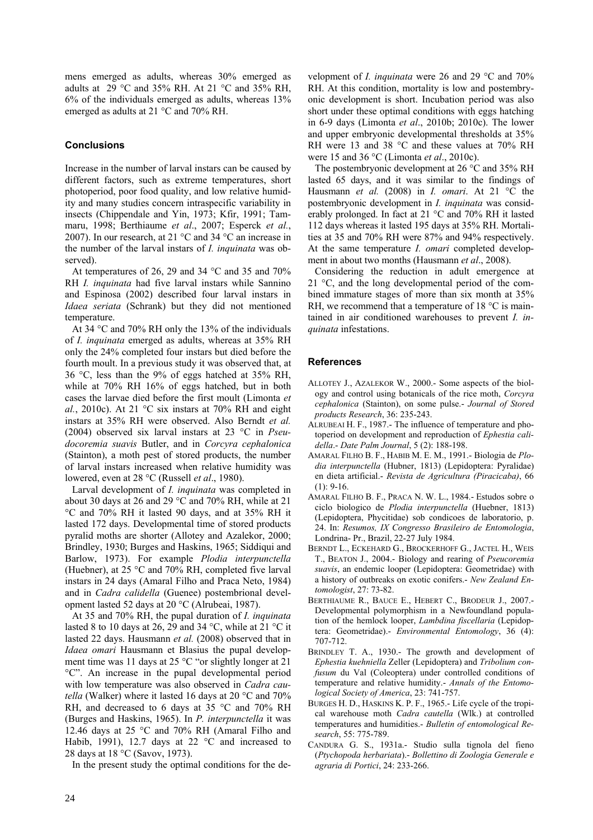mens emerged as adults, whereas 30% emerged as adults at  $29^{\circ}$ C and 35% RH. At 21 °C and 35% RH, 6% of the individuals emerged as adults, whereas 13% emerged as adults at 21 °C and 70% RH.

# **Conclusions**

Increase in the number of larval instars can be caused by different factors, such as extreme temperatures, short photoperiod, poor food quality, and low relative humidity and many studies concern intraspecific variability in insects (Chippendale and Yin, 1973; Kfir, 1991; Tammaru, 1998; Berthiaume *et al*., 2007; Esperck *et al.*, 2007). In our research, at 21 °C and 34 °C an increase in the number of the larval instars of *I. inquinata* was observed).

At temperatures of 26, 29 and 34 °C and 35 and 70% RH *I. inquinata* had five larval instars while Sannino and Espinosa (2002) described four larval instars in *Idaea seriata* (Schrank) but they did not mentioned temperature.

At 34 °C and 70% RH only the 13% of the individuals of *I. inquinata* emerged as adults, whereas at 35% RH only the 24% completed four instars but died before the fourth moult. In a previous study it was observed that, at 36 °C, less than the 9% of eggs hatched at 35% RH, while at 70% RH 16% of eggs hatched, but in both cases the larvae died before the first moult (Limonta *et al.*, 2010c). At 21 °C six instars at 70% RH and eight instars at 35% RH were observed. Also Berndt *et al.* (2004) observed six larval instars at 23 °C in *Pseudocoremia suavis* Butler, and in *Corcyra cephalonica* (Stainton), a moth pest of stored products, the number of larval instars increased when relative humidity was lowered, even at 28 °C (Russell *et al*., 1980).

Larval development of *I. inquinata* was completed in about 30 days at 26 and 29 °C and 70% RH, while at 21 °C and 70% RH it lasted 90 days, and at 35% RH it lasted 172 days. Developmental time of stored products pyralid moths are shorter (Allotey and Azalekor, 2000; Brindley, 1930; Burges and Haskins, 1965; Siddiqui and Barlow, 1973). For example *Plodia interpunctella* (Huebner), at 25 °C and 70% RH, completed five larval instars in 24 days (Amaral Filho and Praca Neto, 1984) and in *Cadra calidella* (Guenee) postembrional development lasted 52 days at 20 °C (Alrubeai, 1987).

At 35 and 70% RH, the pupal duration of *I. inquinata* lasted 8 to 10 days at 26, 29 and 34 °C, while at 21 °C it lasted 22 days. Hausmann *et al.* (2008) observed that in *Idaea omari* Hausmann et Blasius the pupal development time was 11 days at 25 °C "or slightly longer at 21 °C". An increase in the pupal developmental period with low temperature was also observed in *Cadra cautella* (Walker) where it lasted 16 days at 20 °C and 70% RH, and decreased to 6 days at 35 °C and 70% RH (Burges and Haskins, 1965). In *P. interpunctella* it was 12.46 days at 25 °C and 70% RH (Amaral Filho and Habib, 1991), 12.7 days at 22  $^{\circ}$ C and increased to 28 days at 18 °C (Savov, 1973).

In the present study the optimal conditions for the de-

velopment of *I. inquinata* were 26 and 29 °C and 70% RH. At this condition, mortality is low and postembryonic development is short. Incubation period was also short under these optimal conditions with eggs hatching in 6-9 days (Limonta *et al*., 2010b; 2010c). The lower and upper embryonic developmental thresholds at 35% RH were 13 and 38 °C and these values at 70% RH were 15 and 36 °C (Limonta *et al*., 2010c).

The postembryonic development at 26 °C and 35% RH lasted 65 days, and it was similar to the findings of Hausmann *et al.* (2008) in *I. omari*. At 21 °C the postembryonic development in *I. inquinata* was considerably prolonged. In fact at 21 °C and 70% RH it lasted 112 days whereas it lasted 195 days at 35% RH. Mortalities at 35 and 70% RH were 87% and 94% respectively. At the same temperature *I. omari* completed development in about two months (Hausmann *et al*., 2008).

Considering the reduction in adult emergence at 21 °C, and the long developmental period of the combined immature stages of more than six month at 35% RH, we recommend that a temperature of 18 °C is maintained in air conditioned warehouses to prevent *I. inquinata* infestations.

# **References**

- ALLOTEY J., AZALEKOR W., 2000.- Some aspects of the biology and control using botanicals of the rice moth, *Corcyra cephalonica* (Stainton), on some pulse.- *Journal of Stored products Research*, 36: 235-243.
- ALRUBEAI H. F., 1987.- The influence of temperature and photoperiod on development and reproduction of *Ephestia calidella*.- *Date Palm Journal*, 5 (2): 188-198.
- AMARAL FILHO B. F., HABIB M. E. M., 1991.- Biologia de *Plodia interpunctella* (Hubner, 1813) (Lepidoptera: Pyralidae) en dieta artificial.- *Revista de Agricultura (Piracicaba)*, 66  $(1): 9-16.$
- AMARAL FILHO B. F., PRACA N. W. L., 1984.- Estudos sobre o ciclo biologico de *Plodia interpunctella* (Huebner, 1813) (Lepidoptera, Phycitidae) sob condicoes de laboratorio, p. 24. In: *Resumos, IX Congresso Brasileiro de Entomologia*, Londrina- Pr., Brazil, 22-27 July 1984.
- BERNDT L., ECKEHARD G., BROCKERHOFF G., JACTEL H., WEIS T., BEATON J., 2004.- Biology and rearing of *Pseucoremia suavis*, an endemic looper (Lepidoptera: Geometridae) with a history of outbreaks on exotic conifers.- *New Zealand Entomologist*, 27: 73-82.
- BERTHIAUME R., BAUCE E., HEBERT C., BRODEUR J., 2007.- Developmental polymorphism in a Newfoundland population of the hemlock looper, *Lambdina fiscellaria* (Lepidoptera: Geometridae).- *Environmental Entomology*, 36 (4): 707-712.
- BRINDLEY T. A., 1930.- The growth and development of *Ephestia kuehniella* Zeller (Lepidoptera) and *Tribolium confusum* du Val (Coleoptera) under controlled conditions of temperature and relative humidity.- *Annals of the Entomological Society of America*, 23: 741-757.
- BURGES H. D., HASKINS K. P. F., 1965.- Life cycle of the tropical warehouse moth *Cadra cautella* (Wlk.) at controlled temperatures and humidities.- *Bulletin of entomological Research*, 55: 775-789.
- CANDURA G. S., 1931a.- Studio sulla tignola del fieno (*Ptychopoda herbariata*).- *Bollettino di Zoologia Generale e agraria di Portici*, 24: 233-266.